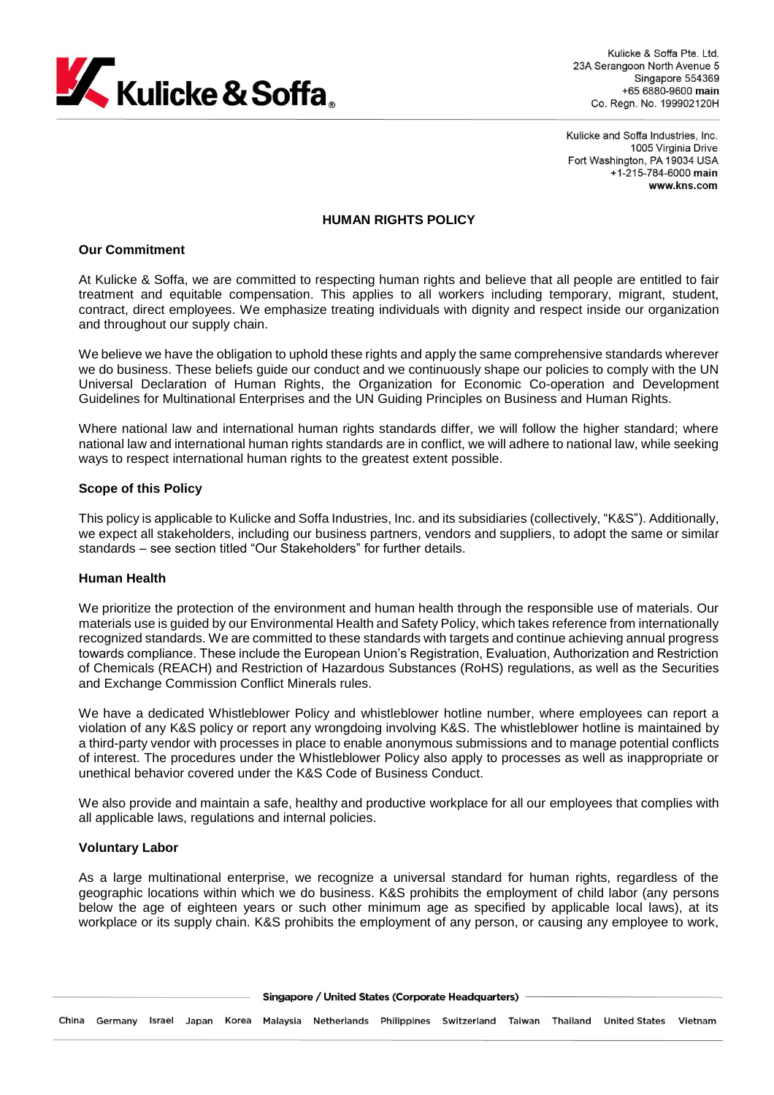

Kulicke & Soffa Pte Ltd. 23A Serangoon North Avenue 5 Singapore 554369 +65 6880-9600 main Co. Regn. No. 199902120H

Kulicke and Soffa Industries, Inc. 1005 Virginia Drive Fort Washington, PA 19034 USA +1-215-784-6000 main www.kns.com

#### **HUMAN RIGHTS POLICY**

## **Our Commitment**

At Kulicke & Soffa, we are committed to respecting human rights and believe that all people are entitled to fair treatment and equitable compensation. This applies to all workers including temporary, migrant, student, contract, direct employees. We emphasize treating individuals with dignity and respect inside our organization and throughout our supply chain.

We believe we have the obligation to uphold these rights and apply the same comprehensive standards wherever we do business. These beliefs guide our conduct and we continuously shape our policies to comply with the UN Universal Declaration of Human Rights, the Organization for Economic Co-operation and Development Guidelines for Multinational Enterprises and the UN Guiding Principles on Business and Human Rights.

Where national law and international human rights standards differ, we will follow the higher standard; where national law and international human rights standards are in conflict, we will adhere to national law, while seeking ways to respect international human rights to the greatest extent possible.

#### **Scope of this Policy**

This policy is applicable to Kulicke and Soffa Industries, Inc. and its subsidiaries (collectively, "K&S"). Additionally, we expect all stakeholders, including our business partners, vendors and suppliers, to adopt the same or similar standards – see section titled "Our Stakeholders" for further details.

## **Human Health**

We prioritize the protection of the environment and human health through the responsible use of materials. Our materials use is guided by our Environmental Health and Safety Policy, which takes reference from internationally recognized standards. We are committed to these standards with targets and continue achieving annual progress towards compliance. These include the European Union's Registration, Evaluation, Authorization and Restriction of Chemicals (REACH) and Restriction of Hazardous Substances (RoHS) regulations, as well as the Securities and Exchange Commission Conflict Minerals rules.

We have a dedicated Whistleblower Policy and whistleblower hotline number, where employees can report a violation of any K&S policy or report any wrongdoing involving K&S. The whistleblower hotline is maintained by a third-party vendor with processes in place to enable anonymous submissions and to manage potential conflicts of interest. The procedures under the Whistleblower Policy also apply to processes as well as inappropriate or unethical behavior covered under the K&S Code of Business Conduct.

We also provide and maintain a safe, healthy and productive workplace for all our employees that complies with all applicable laws, regulations and internal policies.

#### **Voluntary Labor**

As a large multinational enterprise, we recognize a universal standard for human rights, regardless of the geographic locations within which we do business. K&S prohibits the employment of child labor (any persons below the age of eighteen years or such other minimum age as specified by applicable local laws), at its workplace or its supply chain. K&S prohibits the employment of any person, or causing any employee to work,

Singapore / United States (Corporate Headquarters)

China Germany Israel Japan Korea Malaysia Netherlands Philippines Switzerland Taiwan Thailand UnitedStates Vietnam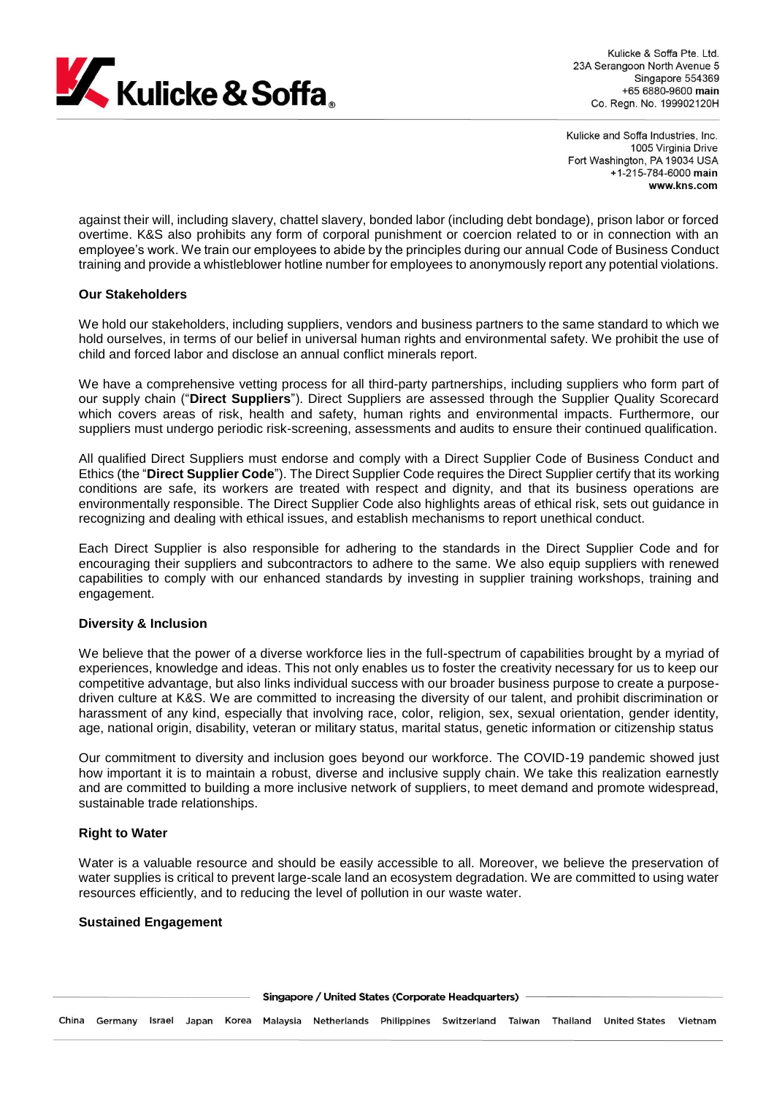

Kulicke & Soffa Pte Ltd. 23A Serangoon North Avenue 5 Singapore 554369 +65 6880-9600 main Co. Regn. No. 199902120H

Kulicke and Soffa Industries, Inc. 1005 Virginia Drive Fort Washington, PA 19034 USA +1-215-784-6000 main www.kns.com

against their will, including slavery, chattel slavery, bonded labor (including debt bondage), prison labor or forced overtime. K&S also prohibits any form of corporal punishment or coercion related to or in connection with an employee's work. We train our employees to abide by the principles during our annual Code of Business Conduct training and provide a whistleblower hotline number for employees to anonymously report any potential violations.

## **Our Stakeholders**

We hold our stakeholders, including suppliers, vendors and business partners to the same standard to which we hold ourselves, in terms of our belief in universal human rights and environmental safety. We prohibit the use of child and forced labor and disclose an annual conflict minerals report.

We have a comprehensive vetting process for all third-party partnerships, including suppliers who form part of our supply chain ("**Direct Suppliers**"). Direct Suppliers are assessed through the Supplier Quality Scorecard which covers areas of risk, health and safety, human rights and environmental impacts. Furthermore, our suppliers must undergo periodic risk-screening, assessments and audits to ensure their continued qualification.

All qualified Direct Suppliers must endorse and comply with a Direct Supplier Code of Business Conduct and Ethics (the "**Direct Supplier Code**"). The Direct Supplier Code requires the Direct Supplier certify that its working conditions are safe, its workers are treated with respect and dignity, and that its business operations are environmentally responsible. The Direct Supplier Code also highlights areas of ethical risk, sets out guidance in recognizing and dealing with ethical issues, and establish mechanisms to report unethical conduct.

Each Direct Supplier is also responsible for adhering to the standards in the Direct Supplier Code and for encouraging their suppliers and subcontractors to adhere to the same. We also equip suppliers with renewed capabilities to comply with our enhanced standards by investing in supplier training workshops, training and engagement.

## **Diversity & Inclusion**

We believe that the power of a diverse workforce lies in the full-spectrum of capabilities brought by a myriad of experiences, knowledge and ideas. This not only enables us to foster the creativity necessary for us to keep our competitive advantage, but also links individual success with our broader business purpose to create a purposedriven culture at K&S. We are committed to increasing the diversity of our talent, and prohibit discrimination or harassment of any kind, especially that involving race, color, religion, sex, sexual orientation, gender identity, age, national origin, disability, veteran or military status, marital status, genetic information or citizenship status

Our commitment to diversity and inclusion goes beyond our workforce. The COVID-19 pandemic showed just how important it is to maintain a robust, diverse and inclusive supply chain. We take this realization earnestly and are committed to building a more inclusive network of suppliers, to meet demand and promote widespread, sustainable trade relationships.

# **Right to Water**

Water is a valuable resource and should be easily accessible to all. Moreover, we believe the preservation of water supplies is critical to prevent large-scale land an ecosystem degradation. We are committed to using water resources efficiently, and to reducing the level of pollution in our waste water.

## **Sustained Engagement**

Singapore / United States (Corporate Headquarters)

China Germany Israel Japan Korea Malaysia Netherlands Philippines Switzerland Taiwan Thailand UnitedStates Vietnam